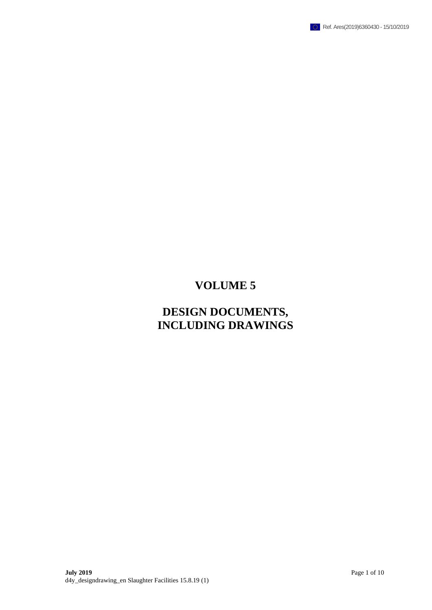

# **VOLUME 5**

## **DESIGN DOCUMENTS, INCLUDING DRAWINGS**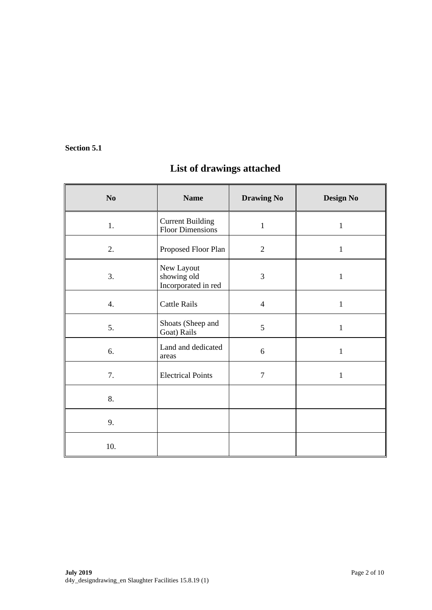#### **Section 5.1**

### **List of drawings attached**

| No               | <b>Name</b>                                        | <b>Drawing No</b> | <b>Design No</b> |
|------------------|----------------------------------------------------|-------------------|------------------|
| 1.               | <b>Current Building</b><br><b>Floor Dimensions</b> | $\mathbf{1}$      | $\mathbf{1}$     |
| 2.               | Proposed Floor Plan                                | $\overline{2}$    | $\mathbf{1}$     |
| 3.               | New Layout<br>showing old<br>Incorporated in red   | 3                 | $\mathbf{1}$     |
| $\overline{4}$ . | <b>Cattle Rails</b>                                | $\overline{4}$    | $\mathbf{1}$     |
| 5.               | Shoats (Sheep and<br>Goat) Rails                   | 5                 | $\mathbf{1}$     |
| 6.               | Land and dedicated<br>areas                        | 6                 | $\mathbf{1}$     |
| 7.               | <b>Electrical Points</b>                           | $\overline{7}$    | $\mathbf{1}$     |
| 8.               |                                                    |                   |                  |
| 9.               |                                                    |                   |                  |
| 10.              |                                                    |                   |                  |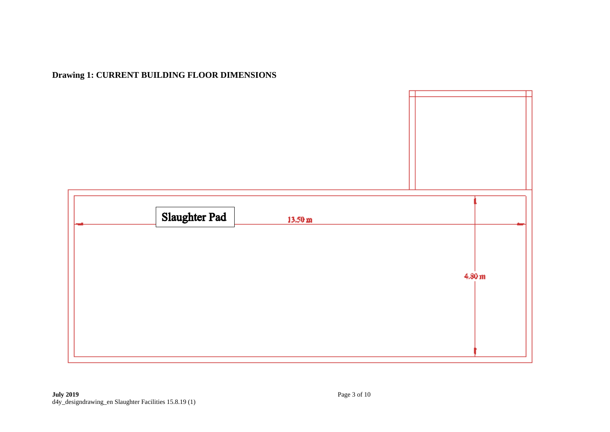### **Drawing 1: CURRENT BUILDING FLOOR DIMENSIONS**

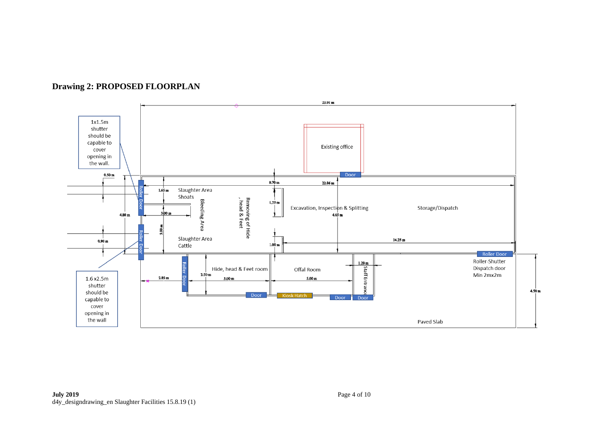

**Drawing 2: PROPOSED FLOORPLAN**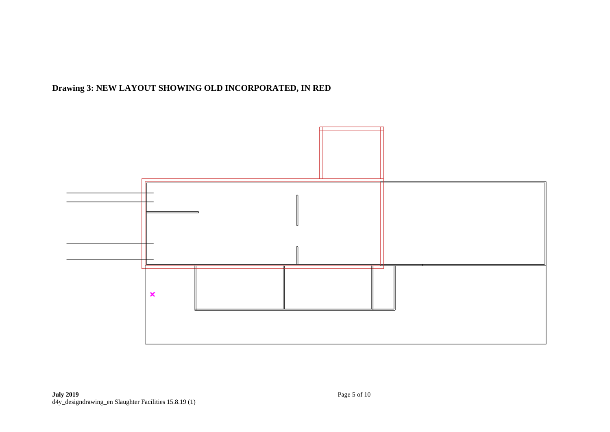### **Drawing 3: NEW LAYOUT SHOWING OLD INCORPORATED, IN RED**

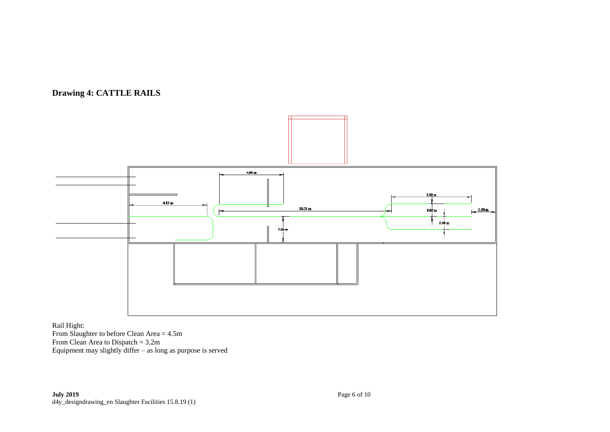#### **Drawing 4: CATTLE RAILS**



Rail Hight:

From Slaughter to before Clean Area = 4.5m From Clean Area to Dispatch = 3.2m Equipment may slightly differ  $-$  as long as purpose is served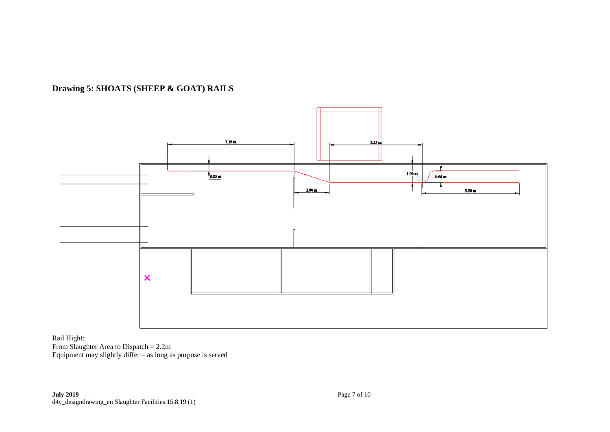



Rail Hight: From Slaughter Area to Dispatch = 2.2m Equipment may slightly differ – as long as purpose is served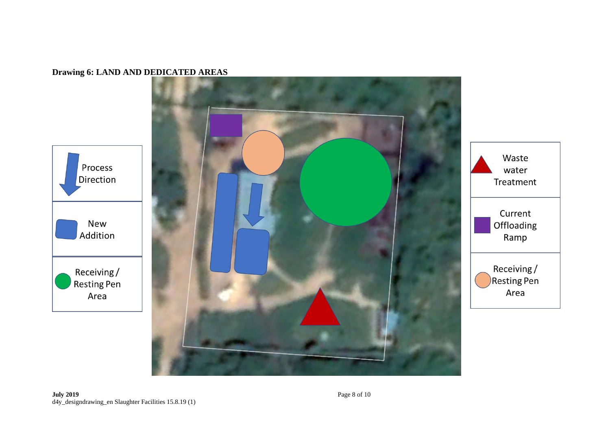#### **Drawing 6: LAND AND DEDICATED AREAS**

Process

**New** 

Addition

Area





water

Ramp

Area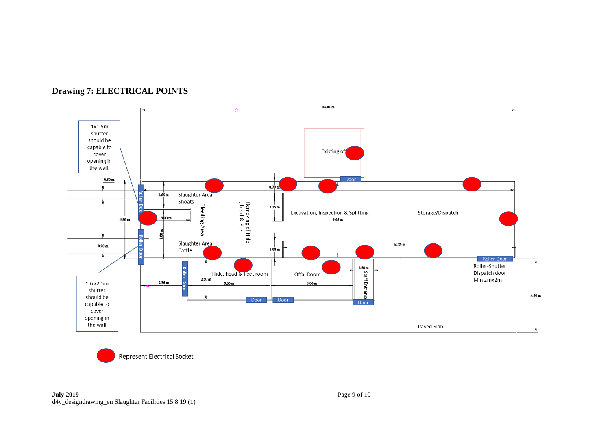

### **Drawing 7: ELECTRICAL POINTS**

**Represent Electrical Socket**